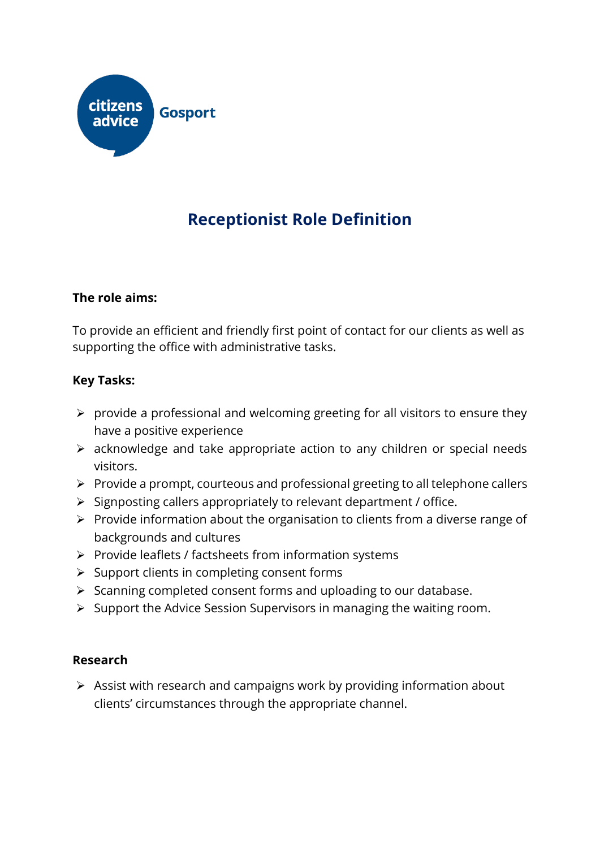

# **Receptionist Role Definition**

### **The role aims:**

To provide an efficient and friendly first point of contact for our clients as well as supporting the office with administrative tasks.

### **Key Tasks:**

- ➢ provide a professional and welcoming greeting for all visitors to ensure they have a positive experience
- ➢ acknowledge and take appropriate action to any children or special needs visitors.
- ➢ Provide a prompt, courteous and professional greeting to all telephone callers
- ➢ Signposting callers appropriately to relevant department / office.
- ➢ Provide information about the organisation to clients from a diverse range of backgrounds and cultures
- ➢ Provide leaflets / factsheets from information systems
- ➢ Support clients in completing consent forms
- ➢ Scanning completed consent forms and uploading to our database.
- ➢ Support the Advice Session Supervisors in managing the waiting room.

### **Research**

➢ Assist with research and campaigns work by providing information about clients' circumstances through the appropriate channel.